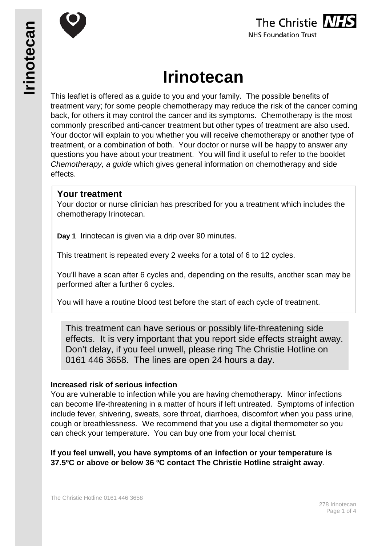



# **Irinotecan**

This leaflet is offered as a guide to you and your family. The possible benefits of treatment vary; for some people chemotherapy may reduce the risk of the cancer coming back, for others it may control the cancer and its symptoms. Chemotherapy is the most commonly prescribed anti-cancer treatment but other types of treatment are also used. Your doctor will explain to you whether you will receive chemotherapy or another type of treatment, or a combination of both. Your doctor or nurse will be happy to answer any questions you have about your treatment. You will find it useful to refer to the booklet *Chemotherapy, a guide* which gives general information on chemotherapy and side effects.

## **Your treatment**

Your doctor or nurse clinician has prescribed for you a treatment which includes the chemotherapy Irinotecan.

**Day 1** Irinotecan is given via a drip over 90 minutes.

This treatment is repeated every 2 weeks for a total of 6 to 12 cycles.

You'll have a scan after 6 cycles and, depending on the results, another scan may be performed after a further 6 cycles.

You will have a routine blood test before the start of each cycle of treatment.

This treatment can have serious or possibly life-threatening side effects. It is very important that you report side effects straight away. Don't delay, if you feel unwell, please ring The Christie Hotline on 0161 446 3658. The lines are open 24 hours a day.

#### **Increased risk of serious infection**

You are vulnerable to infection while you are having chemotherapy. Minor infections can become life-threatening in a matter of hours if left untreated. Symptoms of infection include fever, shivering, sweats, sore throat, diarrhoea, discomfort when you pass urine, cough or breathlessness. We recommend that you use a digital thermometer so you can check your temperature. You can buy one from your local chemist.

**If you feel unwell, you have symptoms of an infection or your temperature is 37.5ºC or above or below 36 ºC contact The Christie Hotline straight away**.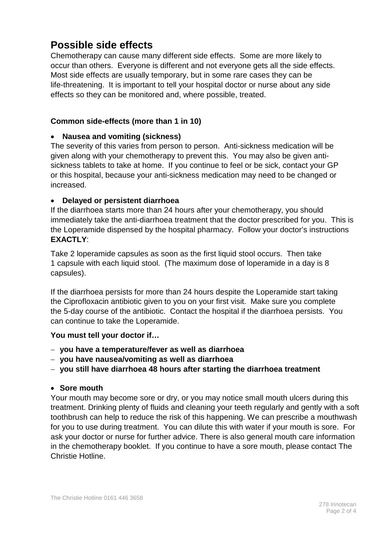# **Possible side effects**

Chemotherapy can cause many different side effects. Some are more likely to occur than others. Everyone is different and not everyone gets all the side effects. Most side effects are usually temporary, but in some rare cases they can be life-threatening. It is important to tell your hospital doctor or nurse about any side effects so they can be monitored and, where possible, treated.

#### **Common side-effects (more than 1 in 10)**

#### • **Nausea and vomiting (sickness)**

The severity of this varies from person to person. Anti-sickness medication will be given along with your chemotherapy to prevent this. You may also be given antisickness tablets to take at home. If you continue to feel or be sick, contact your GP or this hospital, because your anti-sickness medication may need to be changed or increased.

#### • **Delayed or persistent diarrhoea**

If the diarrhoea starts more than 24 hours after your chemotherapy, you should immediately take the anti-diarrhoea treatment that the doctor prescribed for you. This is the Loperamide dispensed by the hospital pharmacy. Follow your doctor's instructions **EXACTLY**:

Take 2 loperamide capsules as soon as the first liquid stool occurs. Then take 1 capsule with each liquid stool. (The maximum dose of loperamide in a day is 8 capsules).

If the diarrhoea persists for more than 24 hours despite the Loperamide start taking the Ciprofloxacin antibiotic given to you on your first visit. Make sure you complete the 5-day course of the antibiotic. Contact the hospital if the diarrhoea persists. You can continue to take the Loperamide.

#### **You must tell your doctor if…**

- − **you have a temperature/fever as well as diarrhoea**
- − **you have nausea/vomiting as well as diarrhoea**
- − **you still have diarrhoea 48 hours after starting the diarrhoea treatment**

#### • **Sore mouth**

Your mouth may become sore or dry, or you may notice small mouth ulcers during this treatment. Drinking plenty of fluids and cleaning your teeth regularly and gently with a soft toothbrush can help to reduce the risk of this happening. We can prescribe a mouthwash for you to use during treatment. You can dilute this with water if your mouth is sore. For ask your doctor or nurse for further advice. There is also general mouth care information in the chemotherapy booklet. If you continue to have a sore mouth, please contact The Christie Hotline.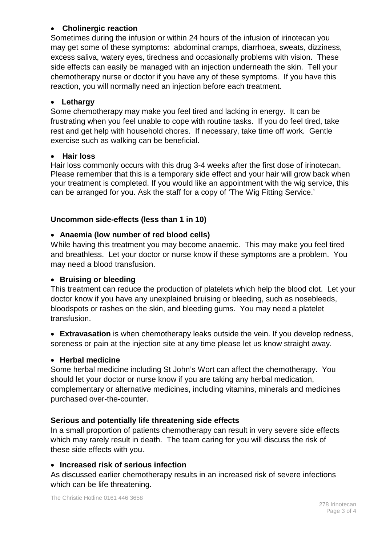### • **Cholinergic reaction**

Sometimes during the infusion or within 24 hours of the infusion of irinotecan you may get some of these symptoms: abdominal cramps, diarrhoea, sweats, dizziness, excess saliva, watery eyes, tiredness and occasionally problems with vision. These side effects can easily be managed with an injection underneath the skin. Tell your chemotherapy nurse or doctor if you have any of these symptoms. If you have this reaction, you will normally need an injection before each treatment.

### • **Lethargy**

Some chemotherapy may make you feel tired and lacking in energy. It can be frustrating when you feel unable to cope with routine tasks. If you do feel tired, take rest and get help with household chores. If necessary, take time off work. Gentle exercise such as walking can be beneficial.

#### • **Hair loss**

Hair loss commonly occurs with this drug 3-4 weeks after the first dose of irinotecan. Please remember that this is a temporary side effect and your hair will grow back when your treatment is completed. If you would like an appointment with the wig service, this can be arranged for you. Ask the staff for a copy of 'The Wig Fitting Service.'

## **Uncommon side-effects (less than 1 in 10)**

## • **Anaemia (low number of red blood cells)**

While having this treatment you may become anaemic. This may make you feel tired and breathless. Let your doctor or nurse know if these symptoms are a problem. You may need a blood transfusion.

#### • **Bruising or bleeding**

This treatment can reduce the production of platelets which help the blood clot. Let your doctor know if you have any unexplained bruising or bleeding, such as nosebleeds, bloodspots or rashes on the skin, and bleeding gums. You may need a platelet transfusion.

• **Extravasation** is when chemotherapy leaks outside the vein. If you develop redness, soreness or pain at the injection site at any time please let us know straight away.

#### • **Herbal medicine**

Some herbal medicine including St John's Wort can affect the chemotherapy. You should let your doctor or nurse know if you are taking any herbal medication, complementary or alternative medicines, including vitamins, minerals and medicines purchased over-the-counter.

#### **Serious and potentially life threatening side effects**

In a small proportion of patients chemotherapy can result in very severe side effects which may rarely result in death. The team caring for you will discuss the risk of these side effects with you.

#### • **Increased risk of serious infection**

As discussed earlier chemotherapy results in an increased risk of severe infections which can be life threatening.